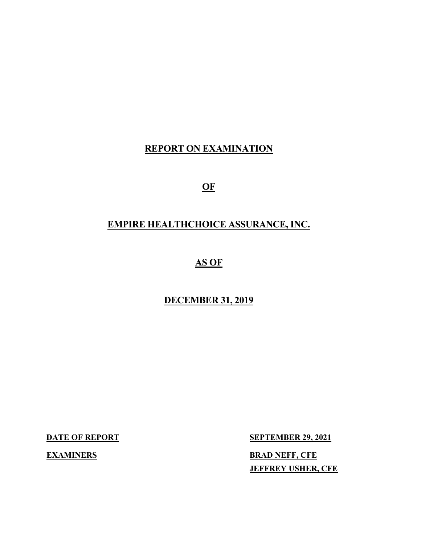# **REPORT ON EXAMINATION**

**OF** 

# **EMPIRE HEALTHCHOICE ASSURANCE, INC.**

# **AS OF**

# **DECEMBER 31, 2019**

**DATE OF REPORT SEPTEMBER 29, 2021 EXAMINERS** BRAD NEFF, CFE **JEFFREY USHER, CFE**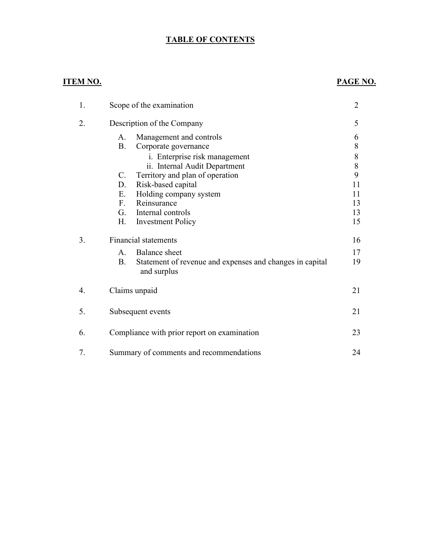# **TABLE OF CONTENTS**

# **ITEM NO. PAGE NO.**

| 1. | Scope of the examination                                                             | $\overline{2}$ |
|----|--------------------------------------------------------------------------------------|----------------|
| 2. | Description of the Company                                                           | 5              |
|    | Management and controls<br>A.                                                        | 6              |
|    | <b>B.</b><br>Corporate governance                                                    | 8              |
|    | <i>i.</i> Enterprise risk management                                                 | 8              |
|    | ii. Internal Audit Department                                                        | $8\,$          |
|    | Territory and plan of operation<br>C.                                                | 9              |
|    | D.<br>Risk-based capital                                                             | 11             |
|    | Holding company system<br>E.                                                         | 11             |
|    | F.<br>Reinsurance                                                                    | 13             |
|    | G.<br>Internal controls                                                              | 13             |
|    | Η.<br><b>Investment Policy</b>                                                       | 15             |
| 3. | <b>Financial statements</b>                                                          | 16             |
|    | <b>Balance</b> sheet<br>A.                                                           | 17             |
|    | <b>B.</b><br>Statement of revenue and expenses and changes in capital<br>and surplus | 19             |
| 4. | Claims unpaid                                                                        | 21             |
| 5. | Subsequent events                                                                    | 21             |
| 6. | Compliance with prior report on examination                                          | 23             |
| 7. | Summary of comments and recommendations                                              | 24             |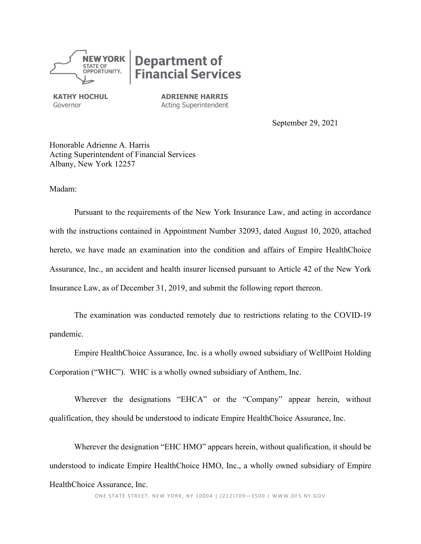**NEW YORK STATE OF** OPPORTUNITY.

# **Department of<br>Financial Services**

**KATHY HOCHUL** Governor

**ADRIENNE HARRIS** Acting Superintendent

September 29, 2021

Honorable Adrienne A. Harris Acting Superintendent of Financial Services Albany, New York 12257

Madam:

Pursuant to the requirements of the New York Insurance Law, and acting in accordance with the instructions contained in Appointment Number 32093, dated August 10, 2020, attached hereto, we have made an examination into the condition and affairs of Empire HealthChoice Assurance, Inc., an accident and health insurer licensed pursuant to Article 42 of the New York Insurance Law, as of December 31, 2019, and submit the following report thereon.

The examination was conducted remotely due to restrictions relating to the COVID-19 pandemic.

Empire HealthChoice Assurance, Inc. is a wholly owned subsidiary of WellPoint Holding Corporation ("WHC"). WHC is a wholly owned subsidiary of Anthem, Inc.

Wherever the designations "EHCA" or the "Company" appear herein, without qualification, they should be understood to indicate Empire HealthChoice Assurance, Inc.

Wherever the designation "EHC HMO" appears herein, without qualification, it should be understood to indicate Empire HealthChoice HMO, Inc., a wholly owned subsidiary of Empire HealthChoice Assurance, Inc.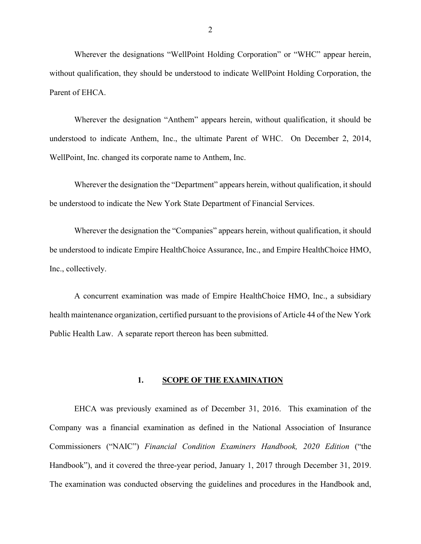Wherever the designations "WellPoint Holding Corporation" or "WHC" appear herein, without qualification, they should be understood to indicate WellPoint Holding Corporation, the Parent of EHCA.

Wherever the designation "Anthem" appears herein, without qualification, it should be understood to indicate Anthem, Inc., the ultimate Parent of WHC. On December 2, 2014, WellPoint, Inc. changed its corporate name to Anthem, Inc.

Wherever the designation the "Department" appears herein, without qualification, it should be understood to indicate the New York State Department of Financial Services.

Wherever the designation the "Companies" appears herein, without qualification, it should be understood to indicate Empire HealthChoice Assurance, Inc., and Empire HealthChoice HMO, Inc., collectively.

A concurrent examination was made of Empire HealthChoice HMO, Inc., a subsidiary health maintenance organization, certified pursuant to the provisions of Article 44 of the New York Public Health Law. A separate report thereon has been submitted.

#### **1. SCOPE OF THE EXAMINATION**

EHCA was previously examined as of December 31, 2016. This examination of the Company was a financial examination as defined in the National Association of Insurance Commissioners ("NAIC") *Financial Condition Examiners Handbook, 2020 Edition* ("the Handbook"), and it covered the three-year period, January 1, 2017 through December 31, 2019. The examination was conducted observing the guidelines and procedures in the Handbook and,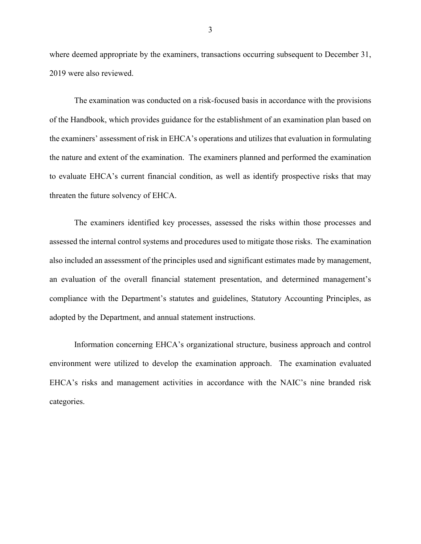where deemed appropriate by the examiners, transactions occurring subsequent to December 31, 2019 were also reviewed.

The examination was conducted on a risk-focused basis in accordance with the provisions of the Handbook, which provides guidance for the establishment of an examination plan based on the examiners' assessment of risk in EHCA's operations and utilizes that evaluation in formulating the nature and extent of the examination. The examiners planned and performed the examination to evaluate EHCA's current financial condition, as well as identify prospective risks that may threaten the future solvency of EHCA.

The examiners identified key processes, assessed the risks within those processes and assessed the internal control systems and procedures used to mitigate those risks. The examination also included an assessment of the principles used and significant estimates made by management, an evaluation of the overall financial statement presentation, and determined management's compliance with the Department's statutes and guidelines, Statutory Accounting Principles, as adopted by the Department, and annual statement instructions.

Information concerning EHCA's organizational structure, business approach and control environment were utilized to develop the examination approach. The examination evaluated EHCA's risks and management activities in accordance with the NAIC's nine branded risk categories.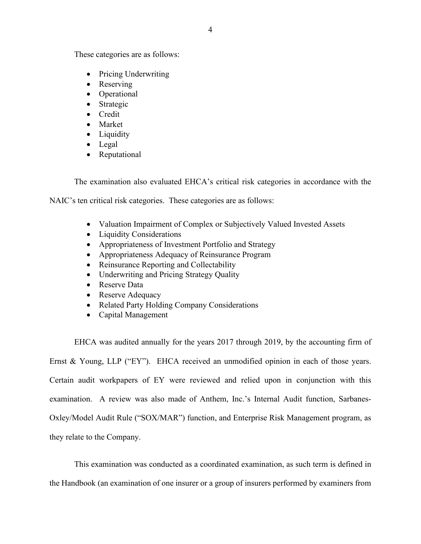These categories are as follows:

- Pricing Underwriting
- Reserving
- Operational
- Strategic
- Credit
- Market
- Liquidity
- Legal
- Reputational

The examination also evaluated EHCA's critical risk categories in accordance with the

NAIC's ten critical risk categories. These categories are as follows:

- Valuation Impairment of Complex or Subjectively Valued Invested Assets
- Liquidity Considerations
- Appropriateness of Investment Portfolio and Strategy
- Appropriateness Adequacy of Reinsurance Program
- Reinsurance Reporting and Collectability
- Underwriting and Pricing Strategy Quality
- Reserve Data
- Reserve Adequacy
- Related Party Holding Company Considerations
- Capital Management

EHCA was audited annually for the years 2017 through 2019, by the accounting firm of Ernst & Young, LLP ("EY"). EHCA received an unmodified opinion in each of those years. Certain audit workpapers of EY were reviewed and relied upon in conjunction with this examination. A review was also made of Anthem, Inc.'s Internal Audit function, Sarbanes-Oxley/Model Audit Rule ("SOX/MAR") function, and Enterprise Risk Management program, as they relate to the Company.

This examination was conducted as a coordinated examination, as such term is defined in the Handbook (an examination of one insurer or a group of insurers performed by examiners from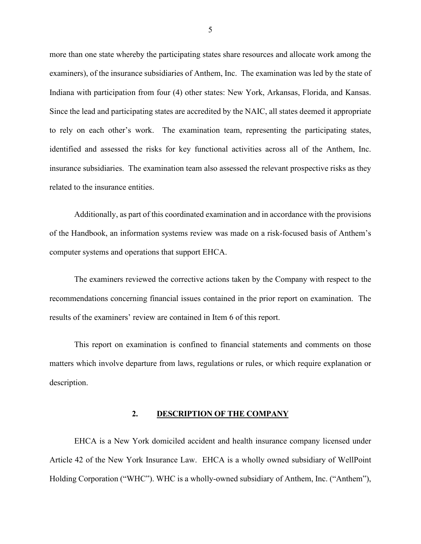more than one state whereby the participating states share resources and allocate work among the examiners), of the insurance subsidiaries of Anthem, Inc. The examination was led by the state of Indiana with participation from four (4) other states: New York, Arkansas, Florida, and Kansas. Since the lead and participating states are accredited by the NAIC, all states deemed it appropriate to rely on each other's work. The examination team, representing the participating states, identified and assessed the risks for key functional activities across all of the Anthem, Inc. insurance subsidiaries. The examination team also assessed the relevant prospective risks as they related to the insurance entities.

Additionally, as part of this coordinated examination and in accordance with the provisions of the Handbook, an information systems review was made on a risk-focused basis of Anthem's computer systems and operations that support EHCA.

The examiners reviewed the corrective actions taken by the Company with respect to the recommendations concerning financial issues contained in the prior report on examination. The results of the examiners' review are contained in Item 6 of this report.

This report on examination is confined to financial statements and comments on those matters which involve departure from laws, regulations or rules, or which require explanation or description.

#### **2. DESCRIPTION OF THE COMPANY**

EHCA is a New York domiciled accident and health insurance company licensed under Article 42 of the New York Insurance Law. EHCA is a wholly owned subsidiary of WellPoint Holding Corporation ("WHC"). WHC is a wholly-owned subsidiary of Anthem, Inc. ("Anthem"),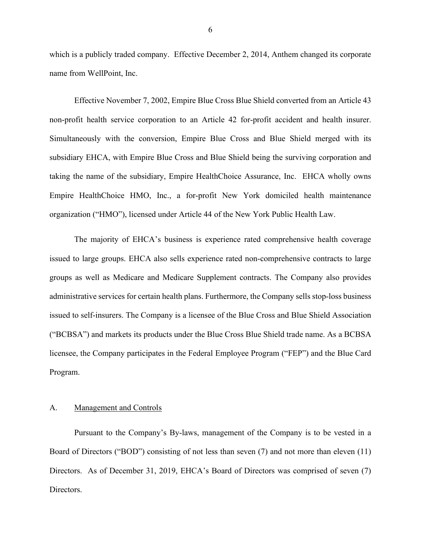which is a publicly traded company. Effective December 2, 2014, Anthem changed its corporate name from WellPoint, Inc.

Effective November 7, 2002, Empire Blue Cross Blue Shield converted from an Article 43 non-profit health service corporation to an Article 42 for-profit accident and health insurer. Simultaneously with the conversion, Empire Blue Cross and Blue Shield merged with its subsidiary EHCA, with Empire Blue Cross and Blue Shield being the surviving corporation and taking the name of the subsidiary, Empire HealthChoice Assurance, Inc. EHCA wholly owns Empire HealthChoice HMO, Inc., a for-profit New York domiciled health maintenance organization ("HMO"), licensed under Article 44 of the New York Public Health Law.

The majority of EHCA's business is experience rated comprehensive health coverage issued to large groups. EHCA also sells experience rated non-comprehensive contracts to large groups as well as Medicare and Medicare Supplement contracts. The Company also provides administrative services for certain health plans. Furthermore, the Company sells stop-loss business issued to self-insurers. The Company is a licensee of the Blue Cross and Blue Shield Association ("BCBSA") and markets its products under the Blue Cross Blue Shield trade name. As a BCBSA licensee, the Company participates in the Federal Employee Program ("FEP") and the Blue Card Program.

#### A. Management and Controls

Pursuant to the Company's By-laws, management of the Company is to be vested in a Board of Directors ("BOD") consisting of not less than seven (7) and not more than eleven (11) Directors. As of December 31, 2019, EHCA's Board of Directors was comprised of seven (7) Directors.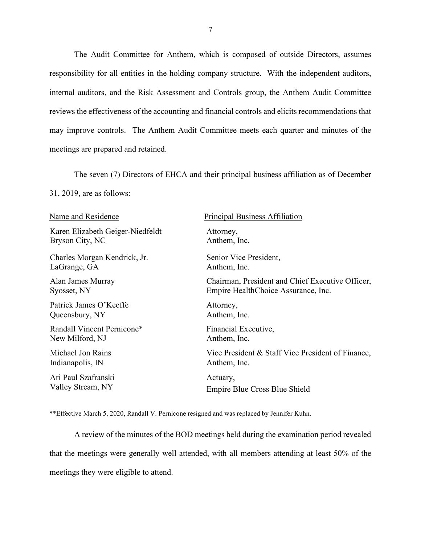The Audit Committee for Anthem, which is composed of outside Directors, assumes responsibility for all entities in the holding company structure. With the independent auditors, internal auditors, and the Risk Assessment and Controls group, the Anthem Audit Committee reviews the effectiveness of the accounting and financial controls and elicits recommendations that may improve controls. The Anthem Audit Committee meets each quarter and minutes of the meetings are prepared and retained.

The seven (7) Directors of EHCA and their principal business affiliation as of December

31, 2019, are as follows:

| Name and Residence               | <b>Principal Business Affiliation</b>             |
|----------------------------------|---------------------------------------------------|
| Karen Elizabeth Geiger-Niedfeldt | Attorney,                                         |
| Bryson City, NC                  | Anthem, Inc.                                      |
| Charles Morgan Kendrick, Jr.     | Senior Vice President,                            |
| LaGrange, GA                     | Anthem, Inc.                                      |
| Alan James Murray                | Chairman, President and Chief Executive Officer,  |
| Syosset, NY                      | Empire HealthChoice Assurance, Inc.               |
| Patrick James O'Keeffe           | Attorney,                                         |
| Queensbury, NY                   | Anthem, Inc.                                      |
| Randall Vincent Pernicone*       | Financial Executive,                              |
| New Milford, NJ                  | Anthem, Inc.                                      |
| Michael Jon Rains                | Vice President & Staff Vice President of Finance, |
| Indianapolis, IN                 | Anthem, Inc.                                      |
| Ari Paul Szafranski              | Actuary,                                          |
| Valley Stream, NY                | Empire Blue Cross Blue Shield                     |

\*\*Effective March 5, 2020, Randall V. Pernicone resigned and was replaced by Jennifer Kuhn.

A review of the minutes of the BOD meetings held during the examination period revealed that the meetings were generally well attended, with all members attending at least 50% of the meetings they were eligible to attend.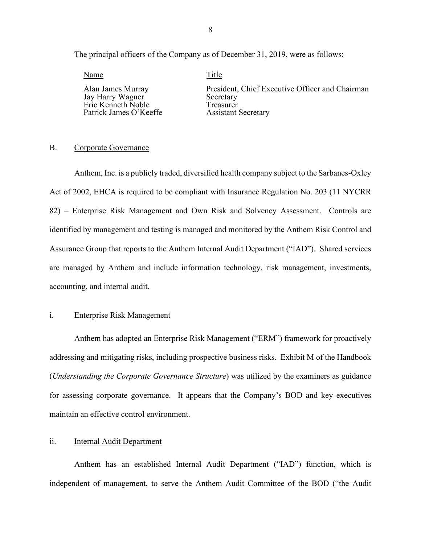The principal officers of the Company as of December 31, 2019, were as follows:

Name Title Jay Harry Wagner Secretary Patrick James O'Keeffe

Alan James Murray President, Chief Executive Officer and Chairman<br>
Jay Harry Wagner Secretary Eric Kenneth Noble Treasurer

#### B. Corporate Governance

Anthem, Inc. is a publicly traded, diversified health company subject to the Sarbanes-Oxley Act of 2002, EHCA is required to be compliant with Insurance Regulation No. 203 (11 NYCRR 82) – Enterprise Risk Management and Own Risk and Solvency Assessment. Controls are identified by management and testing is managed and monitored by the Anthem Risk Control and Assurance Group that reports to the Anthem Internal Audit Department ("IAD"). Shared services are managed by Anthem and include information technology, risk management, investments, accounting, and internal audit.

#### i. Enterprise Risk Management

Anthem has adopted an Enterprise Risk Management ("ERM") framework for proactively addressing and mitigating risks, including prospective business risks. Exhibit M of the Handbook (*Understanding the Corporate Governance Structure*) was utilized by the examiners as guidance for assessing corporate governance. It appears that the Company's BOD and key executives maintain an effective control environment.

#### ii. **Internal Audit Department**

Anthem has an established Internal Audit Department ("IAD") function, which is independent of management, to serve the Anthem Audit Committee of the BOD ("the Audit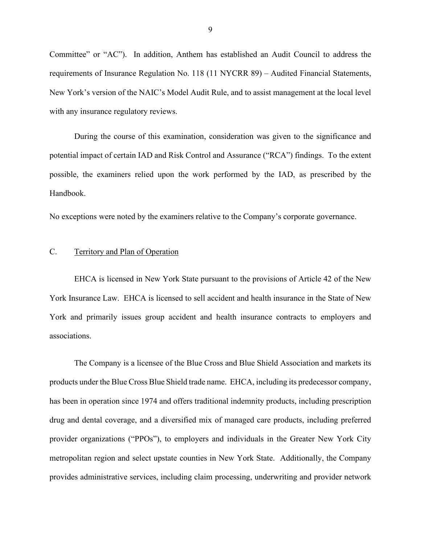Committee" or "AC"). In addition, Anthem has established an Audit Council to address the requirements of Insurance Regulation No. 118 (11 NYCRR 89) – Audited Financial Statements, New York's version of the NAIC's Model Audit Rule, and to assist management at the local level with any insurance regulatory reviews.

During the course of this examination, consideration was given to the significance and potential impact of certain IAD and Risk Control and Assurance ("RCA") findings. To the extent possible, the examiners relied upon the work performed by the IAD, as prescribed by the Handbook.

No exceptions were noted by the examiners relative to the Company's corporate governance.

#### C. Territory and Plan of Operation

EHCA is licensed in New York State pursuant to the provisions of Article 42 of the New York Insurance Law. EHCA is licensed to sell accident and health insurance in the State of New York and primarily issues group accident and health insurance contracts to employers and associations.

The Company is a licensee of the Blue Cross and Blue Shield Association and markets its products under the Blue Cross Blue Shield trade name. EHCA, including its predecessor company, has been in operation since 1974 and offers traditional indemnity products, including prescription drug and dental coverage, and a diversified mix of managed care products, including preferred provider organizations ("PPOs"), to employers and individuals in the Greater New York City metropolitan region and select upstate counties in New York State. Additionally, the Company provides administrative services, including claim processing, underwriting and provider network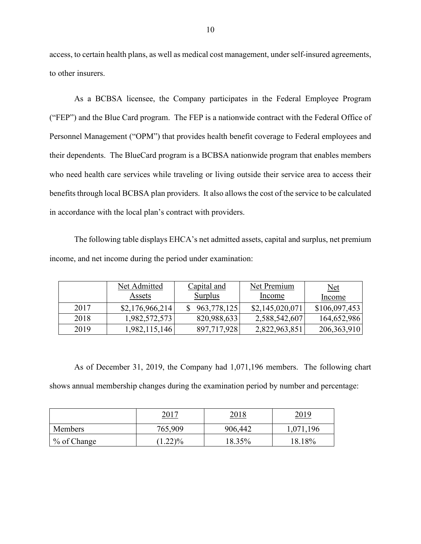access, to certain health plans, as well as medical cost management, under self-insured agreements, to other insurers.

As a BCBSA licensee, the Company participates in the Federal Employee Program ("FEP") and the Blue Card program. The FEP is a nationwide contract with the Federal Office of Personnel Management ("OPM") that provides health benefit coverage to Federal employees and their dependents. The BlueCard program is a BCBSA nationwide program that enables members who need health care services while traveling or living outside their service area to access their benefits through local BCBSA plan providers. It also allows the cost of the service to be calculated in accordance with the local plan's contract with providers.

The following table displays EHCA's net admitted assets, capital and surplus, net premium income, and net income during the period under examination:

|      | Net Admitted    | Capital and    | Net Premium     | $Net$         |
|------|-----------------|----------------|-----------------|---------------|
|      | Assets          | <b>Surplus</b> | Income          | Income        |
| 2017 | \$2,176,966,214 | 963,778,125    | \$2,145,020,071 | \$106,097,453 |
| 2018 | 1,982,572,573   | 820,988,633    | 2,588,542,607   | 164,652,986   |
| 2019 | 1,982,115,146   | 897,717,928    | 2,822,963,851   | 206, 363, 910 |

As of December 31, 2019, the Company had 1,071,196 members. The following chart shows annual membership changes during the examination period by number and percentage:

|                | 2017              | <u>2018</u> | <u> 2019</u> |
|----------------|-------------------|-------------|--------------|
| <b>Members</b> | 765,909           | 906,442     | 196          |
| % of Change    | $1.22\frac{9}{6}$ | 18.35%      | 18.18%       |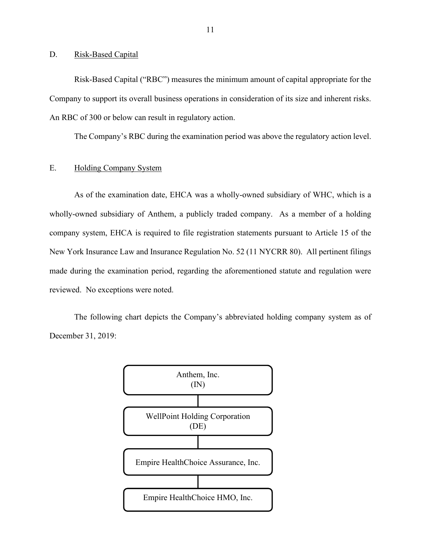D. Risk-Based Capital

Risk-Based Capital ("RBC") measures the minimum amount of capital appropriate for the Company to support its overall business operations in consideration of its size and inherent risks. An RBC of 300 or below can result in regulatory action.

The Company's RBC during the examination period was above the regulatory action level.

#### E. Holding Company System

As of the examination date, EHCA was a wholly-owned subsidiary of WHC, which is a wholly-owned subsidiary of Anthem, a publicly traded company. As a member of a holding company system, EHCA is required to file registration statements pursuant to Article 15 of the New York Insurance Law and Insurance Regulation No. 52 (11 NYCRR 80). All pertinent filings made during the examination period, regarding the aforementioned statute and regulation were reviewed. No exceptions were noted.

The following chart depicts the Company's abbreviated holding company system as of December 31, 2019:

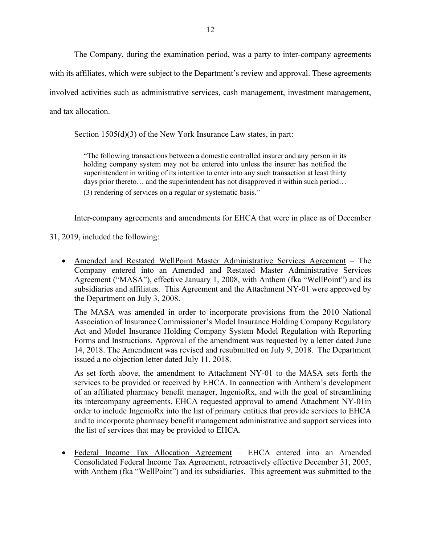The Company, during the examination period, was a party to inter-company agreements with its affiliates, which were subject to the Department's review and approval. These agreements involved activities such as administrative services, cash management, investment management, and tax allocation.

Section 1505(d)(3) of the New York Insurance Law states, in part:

"The following transactions between a domestic controlled insurer and any person in its holding company system may not be entered into unless the insurer has notified the superintendent in writing of its intention to enter into any such transaction at least thirty days prior thereto… and the superintendent has not disapproved it within such period… (3) rendering of services on a regular or systematic basis."

Inter-company agreements and amendments for EHCA that were in place as of December

31, 2019, included the following:

• Amended and Restated WellPoint Master Administrative Services Agreement – The Company entered into an Amended and Restated Master Administrative Services Agreement ("MASA"), effective January 1, 2008, with Anthem (fka "WellPoint") and its subsidiaries and affiliates. This Agreement and the Attachment NY-01 were approved by the Department on July 3, 2008.

The MASA was amended in order to incorporate provisions from the 2010 National Association of Insurance Commissioner's Model Insurance Holding Company Regulatory Act and Model Insurance Holding Company System Model Regulation with Reporting Forms and Instructions. Approval of the amendment was requested by a letter dated June 14, 2018. The Amendment was revised and resubmitted on July 9, 2018. The Department issued a no objection letter dated July 11, 2018.

As set forth above, the amendment to Attachment NY-01 to the MASA sets forth the services to be provided or received by EHCA. In connection with Anthem's development of an affiliated pharmacy benefit manager, IngenioRx, and with the goal of streamlining its intercompany agreements, EHCA requested approval to amend Attachment NY-01in order to include IngenioRx into the list of primary entities that provide services to EHCA and to incorporate pharmacy benefit management administrative and support services into the list of services that may be provided to EHCA.

• Federal Income Tax Allocation Agreement – EHCA entered into an Amended Consolidated Federal Income Tax Agreement, retroactively effective December 31, 2005, with Anthem (fka "WellPoint") and its subsidiaries. This agreement was submitted to the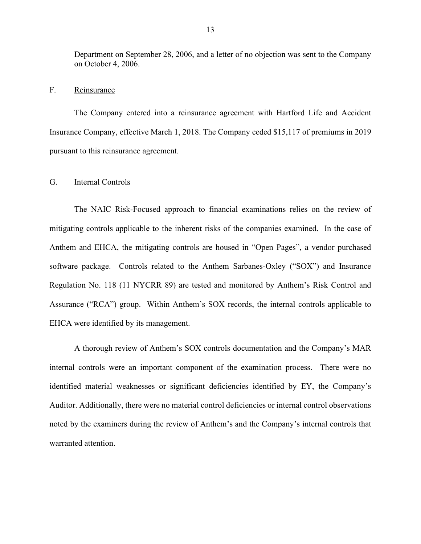Department on September 28, 2006, and a letter of no objection was sent to the Company on October 4, 2006.

#### F. Reinsurance

The Company entered into a reinsurance agreement with Hartford Life and Accident Insurance Company, effective March 1, 2018. The Company ceded \$15,117 of premiums in 2019 pursuant to this reinsurance agreement.

#### G. Internal Controls

The NAIC Risk-Focused approach to financial examinations relies on the review of mitigating controls applicable to the inherent risks of the companies examined. In the case of Anthem and EHCA, the mitigating controls are housed in "Open Pages", a vendor purchased software package. Controls related to the Anthem Sarbanes-Oxley ("SOX") and Insurance Regulation No. 118 (11 NYCRR 89) are tested and monitored by Anthem's Risk Control and Assurance ("RCA") group. Within Anthem's SOX records, the internal controls applicable to EHCA were identified by its management.

A thorough review of Anthem's SOX controls documentation and the Company's MAR internal controls were an important component of the examination process. There were no identified material weaknesses or significant deficiencies identified by EY, the Company's Auditor. Additionally, there were no material control deficiencies or internal control observations noted by the examiners during the review of Anthem's and the Company's internal controls that warranted attention.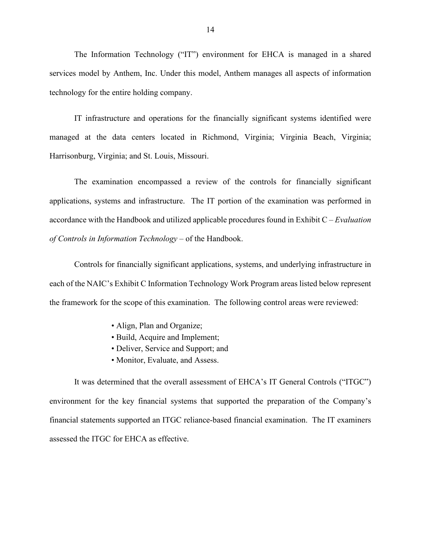The Information Technology ("IT") environment for EHCA is managed in a shared services model by Anthem, Inc. Under this model, Anthem manages all aspects of information technology for the entire holding company.

IT infrastructure and operations for the financially significant systems identified were managed at the data centers located in Richmond, Virginia; Virginia Beach, Virginia; Harrisonburg, Virginia; and St. Louis, Missouri.

The examination encompassed a review of the controls for financially significant applications, systems and infrastructure. The IT portion of the examination was performed in accordance with the Handbook and utilized applicable procedures found in Exhibit C – *Evaluation of Controls in Information Technology* – of the Handbook.

Controls for financially significant applications, systems, and underlying infrastructure in each of the NAIC's Exhibit C Information Technology Work Program areas listed below represent the framework for the scope of this examination. The following control areas were reviewed:

- Align, Plan and Organize;
- Build, Acquire and Implement;
- Deliver, Service and Support; and
- Monitor, Evaluate, and Assess.

It was determined that the overall assessment of EHCA's IT General Controls ("ITGC") environment for the key financial systems that supported the preparation of the Company's financial statements supported an ITGC reliance-based financial examination. The IT examiners assessed the ITGC for EHCA as effective.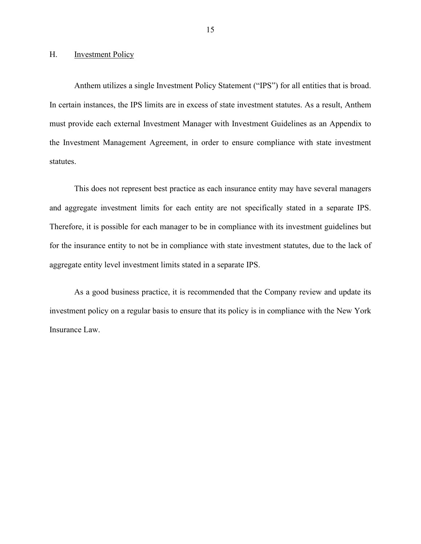#### H. Investment Policy

Anthem utilizes a single Investment Policy Statement ("IPS") for all entities that is broad. In certain instances, the IPS limits are in excess of state investment statutes. As a result, Anthem must provide each external Investment Manager with Investment Guidelines as an Appendix to the Investment Management Agreement, in order to ensure compliance with state investment statutes.

This does not represent best practice as each insurance entity may have several managers and aggregate investment limits for each entity are not specifically stated in a separate IPS. Therefore, it is possible for each manager to be in compliance with its investment guidelines but for the insurance entity to not be in compliance with state investment statutes, due to the lack of aggregate entity level investment limits stated in a separate IPS.

As a good business practice, it is recommended that the Company review and update its investment policy on a regular basis to ensure that its policy is in compliance with the New York Insurance Law.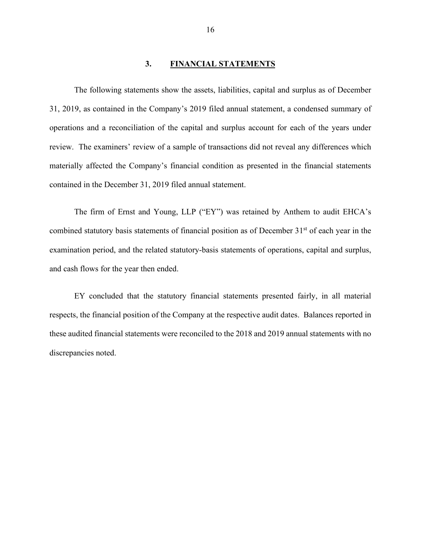#### **3. FINANCIAL STATEMENTS**

The following statements show the assets, liabilities, capital and surplus as of December 31, 2019, as contained in the Company's 2019 filed annual statement, a condensed summary of operations and a reconciliation of the capital and surplus account for each of the years under review. The examiners' review of a sample of transactions did not reveal any differences which materially affected the Company's financial condition as presented in the financial statements contained in the December 31, 2019 filed annual statement.

The firm of Ernst and Young, LLP ("EY") was retained by Anthem to audit EHCA's combined statutory basis statements of financial position as of December 31<sup>st</sup> of each year in the examination period, and the related statutory-basis statements of operations, capital and surplus, and cash flows for the year then ended.

EY concluded that the statutory financial statements presented fairly, in all material respects, the financial position of the Company at the respective audit dates. Balances reported in these audited financial statements were reconciled to the 2018 and 2019 annual statements with no discrepancies noted.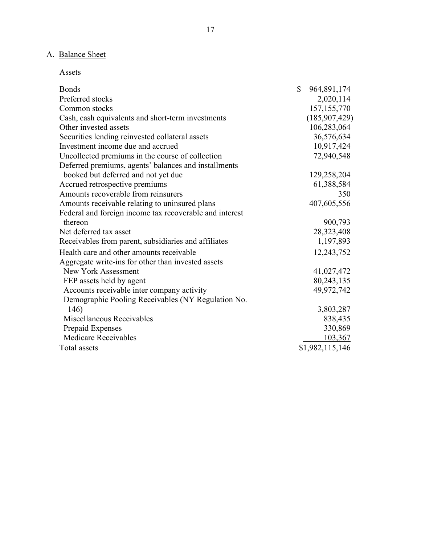# A. Balance Sheet

Assets

| <b>Bonds</b>                                            | $\mathbb{S}$ | 964,891,174     |
|---------------------------------------------------------|--------------|-----------------|
| Preferred stocks                                        |              | 2,020,114       |
| Common stocks                                           |              | 157, 155, 770   |
| Cash, cash equivalents and short-term investments       |              | (185,907,429)   |
| Other invested assets                                   |              | 106,283,064     |
| Securities lending reinvested collateral assets         |              | 36,576,634      |
| Investment income due and accrued                       |              | 10,917,424      |
| Uncollected premiums in the course of collection        |              | 72,940,548      |
| Deferred premiums, agents' balances and installments    |              |                 |
| booked but deferred and not yet due                     |              | 129,258,204     |
| Accrued retrospective premiums                          |              | 61,388,584      |
| Amounts recoverable from reinsurers                     |              | 350             |
| Amounts receivable relating to uninsured plans          |              | 407,605,556     |
| Federal and foreign income tax recoverable and interest |              |                 |
| thereon                                                 |              | 900,793         |
| Net deferred tax asset                                  |              | 28,323,408      |
| Receivables from parent, subsidiaries and affiliates    |              | 1,197,893       |
| Health care and other amounts receivable                |              | 12,243,752      |
| Aggregate write-ins for other than invested assets      |              |                 |
| New York Assessment                                     |              | 41,027,472      |
| FEP assets held by agent                                |              | 80,243,135      |
| Accounts receivable inter company activity              |              | 49,972,742      |
| Demographic Pooling Receivables (NY Regulation No.      |              |                 |
| 146)                                                    |              | 3,803,287       |
| Miscellaneous Receivables                               |              | 838,435         |
| Prepaid Expenses                                        |              | 330,869         |
| <b>Medicare Receivables</b>                             |              | 103,367         |
| Total assets                                            |              | \$1,982,115,146 |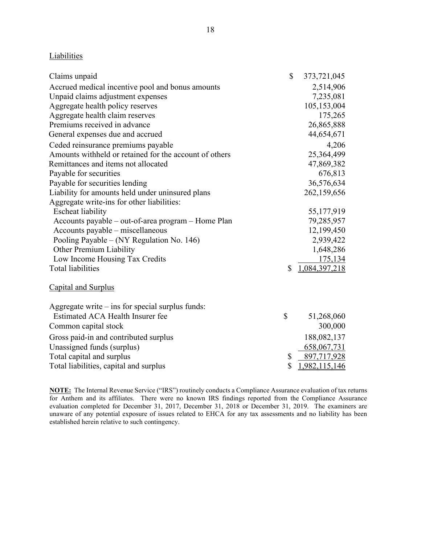### **Liabilities**

| Claims unpaid                                          | \$<br>373,721,045   |
|--------------------------------------------------------|---------------------|
| Accrued medical incentive pool and bonus amounts       | 2,514,906           |
| Unpaid claims adjustment expenses                      | 7,235,081           |
| Aggregate health policy reserves                       | 105,153,004         |
| Aggregate health claim reserves                        | 175,265             |
| Premiums received in advance                           | 26,865,888          |
| General expenses due and accrued                       | 44,654,671          |
| Ceded reinsurance premiums payable                     | 4,206               |
| Amounts withheld or retained for the account of others | 25,364,499          |
| Remittances and items not allocated                    | 47,869,382          |
| Payable for securities                                 | 676,813             |
| Payable for securities lending                         | 36,576,634          |
| Liability for amounts held under uninsured plans       | 262,159,656         |
| Aggregate write-ins for other liabilities:             |                     |
| <b>Escheat liability</b>                               | 55,177,919          |
| Accounts payable – out-of-area program – Home Plan     | 79,285,957          |
| Accounts payable – miscellaneous                       | 12,199,450          |
| Pooling Payable – (NY Regulation No. 146)              | 2,939,422           |
| Other Premium Liability                                | 1,648,286           |
| Low Income Housing Tax Credits                         | 175,134             |
| <b>Total liabilities</b>                               | \$<br>1,084,397,218 |
| Capital and Surplus                                    |                     |
| Aggregate write $-$ ins for special surplus funds:     |                     |
| Estimated ACA Health Insurer fee                       | \$<br>51,268,060    |
| Common capital stock                                   | 300,000             |
| Gross paid-in and contributed surplus                  | 188,082,137         |
| Unassigned funds (surplus)                             | 658,067,731         |
| Total capital and surplus                              | \$<br>897,717,928   |

**NOTE:** The Internal Revenue Service ("IRS") routinely conducts a Compliance Assurance evaluation of tax returns for Anthem and its affiliates. There were no known IRS findings reported from the Compliance Assurance evaluation completed for December 31, 2017, December 31, 2018 or December 31, 2019. The examiners are unaware of any potential exposure of issues related to EHCA for any tax assessments and no liability has been established herein relative to such contingency.

Total liabilities, capital and surplus  $$ \frac{1,982,115,146}{8}$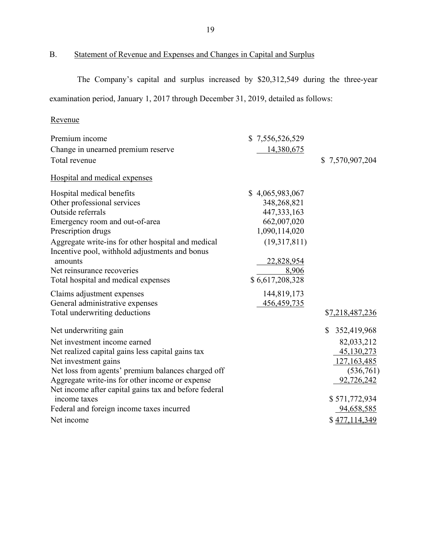# B. Statement of Revenue and Expenses and Changes in Capital and Surplus

The Company's capital and surplus increased by \$20,312,549 during the three-year examination period, January 1, 2017 through December 31, 2019, detailed as follows:

# Revenue

| Premium income                                                                                                                                                                                                                                                                         | \$7,556,526,529                                                                                                                           |                   |
|----------------------------------------------------------------------------------------------------------------------------------------------------------------------------------------------------------------------------------------------------------------------------------------|-------------------------------------------------------------------------------------------------------------------------------------------|-------------------|
| Change in unearned premium reserve                                                                                                                                                                                                                                                     | 14,380,675                                                                                                                                |                   |
| Total revenue                                                                                                                                                                                                                                                                          |                                                                                                                                           | \$7,570,907,204   |
| Hospital and medical expenses                                                                                                                                                                                                                                                          |                                                                                                                                           |                   |
| Hospital medical benefits<br>Other professional services<br>Outside referrals<br>Emergency room and out-of-area<br>Prescription drugs<br>Aggregate write-ins for other hospital and medical<br>Incentive pool, withhold adjustments and bonus<br>amounts<br>Net reinsurance recoveries | \$4,065,983,067<br>348,268,821<br>447, 333, 163<br>662,007,020<br>1,090,114,020<br>(19,317,811)<br>22,828,954<br>8,906<br>\$6,617,208,328 |                   |
| Total hospital and medical expenses<br>Claims adjustment expenses                                                                                                                                                                                                                      | 144,819,173                                                                                                                               |                   |
| General administrative expenses                                                                                                                                                                                                                                                        | 456, 459, 735                                                                                                                             |                   |
| Total underwriting deductions                                                                                                                                                                                                                                                          |                                                                                                                                           | \$7,218,487,236   |
| Net underwriting gain                                                                                                                                                                                                                                                                  |                                                                                                                                           | 352,419,968<br>S. |
| Net investment income earned                                                                                                                                                                                                                                                           |                                                                                                                                           | 82,033,212        |
| Net realized capital gains less capital gains tax                                                                                                                                                                                                                                      |                                                                                                                                           | 45,130,273        |
| Net investment gains                                                                                                                                                                                                                                                                   |                                                                                                                                           | 127,163,485       |
| Net loss from agents' premium balances charged off                                                                                                                                                                                                                                     |                                                                                                                                           | (536,761)         |
| Aggregate write-ins for other income or expense                                                                                                                                                                                                                                        |                                                                                                                                           | 92,726,242        |
| Net income after capital gains tax and before federal                                                                                                                                                                                                                                  |                                                                                                                                           |                   |
| income taxes                                                                                                                                                                                                                                                                           |                                                                                                                                           | \$571,772,934     |
| Federal and foreign income taxes incurred                                                                                                                                                                                                                                              |                                                                                                                                           | 94,658,585        |
| Net income                                                                                                                                                                                                                                                                             |                                                                                                                                           | \$477,114,349     |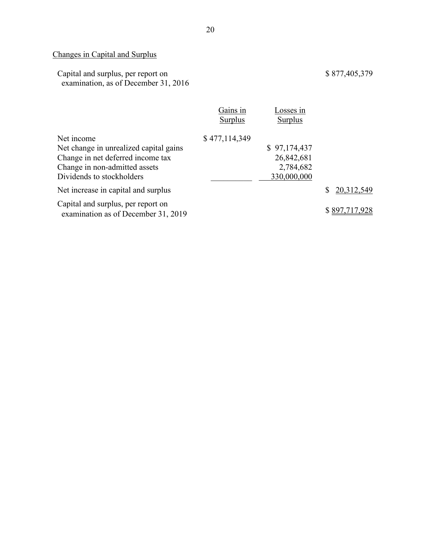# Changes in Capital and Surplus

| Capital and surplus, per report on   |  |
|--------------------------------------|--|
| examination, as of December 31, 2016 |  |

|                                                                           | Gains in<br>Surplus | Losses in<br><b>Surplus</b> |               |
|---------------------------------------------------------------------------|---------------------|-----------------------------|---------------|
| Net income                                                                | \$477,114,349       |                             |               |
| Net change in unrealized capital gains                                    |                     | \$97,174,437                |               |
| Change in net deferred income tax                                         |                     | 26,842,681                  |               |
| Change in non-admitted assets                                             |                     | 2,784,682                   |               |
| Dividends to stockholders                                                 |                     | 330,000,000                 |               |
| Net increase in capital and surplus                                       |                     |                             | 20,312,549    |
| Capital and surplus, per report on<br>examination as of December 31, 2019 |                     |                             | \$897,717,928 |

\$ 877,405,379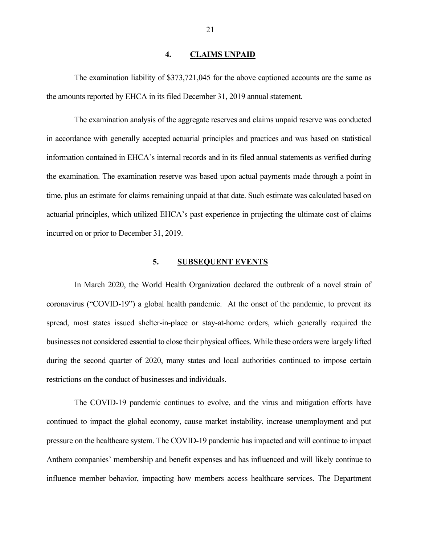#### **4. CLAIMS UNPAID**

The examination liability of \$373,721,045 for the above captioned accounts are the same as the amounts reported by EHCA in its filed December 31, 2019 annual statement.

The examination analysis of the aggregate reserves and claims unpaid reserve was conducted in accordance with generally accepted actuarial principles and practices and was based on statistical information contained in EHCA's internal records and in its filed annual statements as verified during the examination. The examination reserve was based upon actual payments made through a point in time, plus an estimate for claims remaining unpaid at that date. Such estimate was calculated based on actuarial principles, which utilized EHCA's past experience in projecting the ultimate cost of claims incurred on or prior to December 31, 2019.

#### **5. SUBSEQUENT EVENTS**

In March 2020, the World Health Organization declared the outbreak of a novel strain of coronavirus ("COVID-19") a global health pandemic. At the onset of the pandemic, to prevent its spread, most states issued shelter-in-place or stay-at-home orders, which generally required the businesses not considered essential to close their physical offices. While these orders were largely lifted during the second quarter of 2020, many states and local authorities continued to impose certain restrictions on the conduct of businesses and individuals.

The COVID-19 pandemic continues to evolve, and the virus and mitigation efforts have continued to impact the global economy, cause market instability, increase unemployment and put pressure on the healthcare system. The COVID-19 pandemic has impacted and will continue to impact Anthem companies' membership and benefit expenses and has influenced and will likely continue to influence member behavior, impacting how members access healthcare services. The Department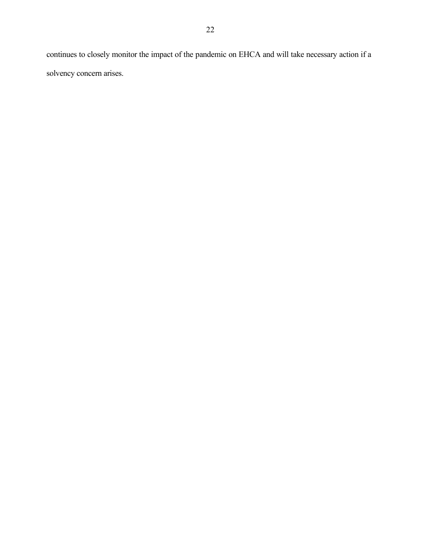continues to closely monitor the impact of the pandemic on EHCA and will take necessary action if a solvency concern arises.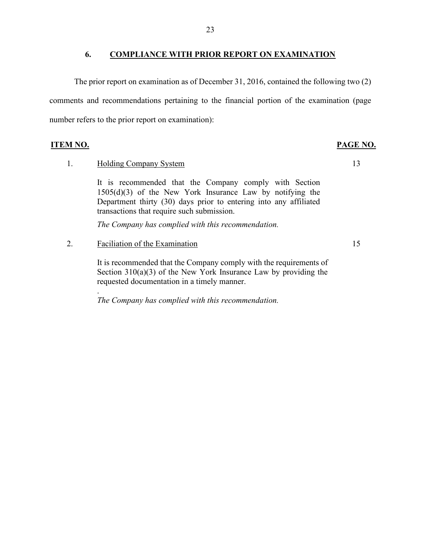#### **6. COMPLIANCE WITH PRIOR REPORT ON EXAMINATION**

The prior report on examination as of December 31, 2016, contained the following two (2) comments and recommendations pertaining to the financial portion of the examination (page number refers to the prior report on examination):

**ITEM NO. PAGE NO.**

#### 1. Holding Company System

It is recommended that the Company comply with Section 1505(d)(3) of the New York Insurance Law by notifying the Department thirty (30) days prior to entering into any affiliated transactions that require such submission.

*The Company has complied with this recommendation.*

2. Faciliation of the Examination

It is recommended that the Company comply with the requirements of Section  $310(a)(3)$  of the New York Insurance Law by providing the requested documentation in a timely manner.

. *The Company has complied with this recommendation.*

13

15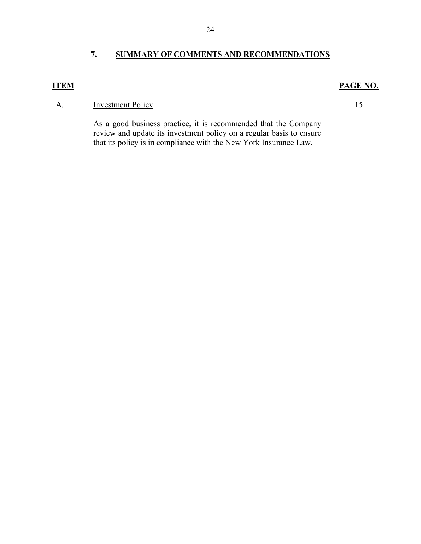# **7. SUMMARY OF COMMENTS AND RECOMMENDATIONS**

# **ITEM PAGE NO.**

## A. Investment Policy 15

As a good business practice, it is recommended that the Company review and update its investment policy on a regular basis to ensure that its policy is in compliance with the New York Insurance Law.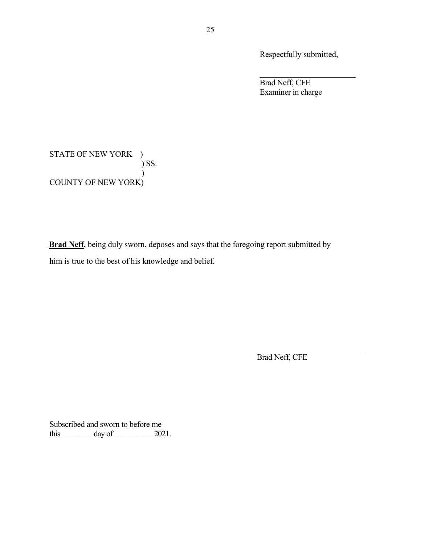Respectfully submitted,

Brad Neff, CFE Examiner in charge

STATE OF NEW YORK ) ) SS.  $\overline{\phantom{a}}$ COUNTY OF NEW YORK)

**Brad Neff**, being duly sworn, deposes and says that the foregoing report submitted by him is true to the best of his knowledge and belief.

Brad Neff, CFE

 $\mathcal{L}_\text{max}$  , where  $\mathcal{L}_\text{max}$  and  $\mathcal{L}_\text{max}$ 

Subscribed and sworn to before me this day of 2021.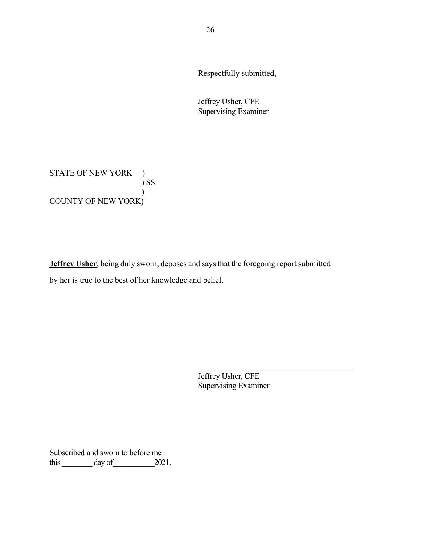Respectfully submitted,

 $\mathcal{L}_\text{max}$  and  $\mathcal{L}_\text{max}$  and  $\mathcal{L}_\text{max}$  and  $\mathcal{L}_\text{max}$ 

Jeffrey Usher, CFE Supervising Examiner

STATE OF NEW YORK ) ) SS.  $\overline{\phantom{a}}$ COUNTY OF NEW YORK)

**Jeffrey Usher**, being duly sworn, deposes and says that the foregoing report submitted by her is true to the best of her knowledge and belief.

> Jeffrey Usher, CFE Supervising Examiner

\_\_\_\_\_\_\_\_\_\_\_\_\_\_\_\_\_\_\_\_\_\_\_\_\_\_\_\_\_\_\_\_\_\_\_\_\_\_\_

Subscribed and sworn to before me this  $\frac{day \text{ of } 2021.}{x}$